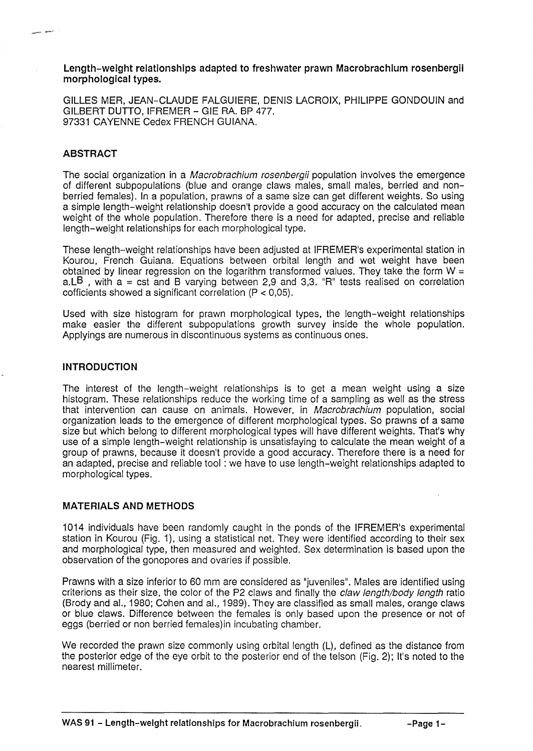#### Length-weight relationships adapted to freshwater prawn Macrobrachium rosenbergii morphological types.

GILLES MER, JEAN-CLAUDE FALGUIERE, DENIS LACROIX, PHILIPPE GONDOUIN and GILBERT DUTTO, IFREMER - GIE RA. BP 477. 97331 CAYENNE Cedex FRENCH GUIANA.

# **ABSTRACT**

The social organization in a *Macrobrachium rosenbergii* population involves the emergence of different subpopulations (blue and orange claws males, small males, berried and nonberried females). In a population, prawns of a same size can get different weights. So using a simple length-weight relationship doesn't provide a good accuracy on the calculated mean weight of the whole population. Therefore there is a need for adapted, precise and reliable length-weight relationships for each morphological type.

These length-weight relationships have been adjusted at IFREMER's experimental station in Kourou, French Guiana. Equations between orbital length and wet weight have been obtained by linear regression on the logarithm transformed values. They take the form  $W =$ a.LB, with  $a = \text{cst}$  and B varying between 2,9 and 3,3. "R" tests realised on correlation cofficients showed a significant correlation (P < 0,05).

Used with size histogram for prawn morphological types, the length-weight relationships make easier the different subpopulations growth survey inside the whole population. Applyings are numerous in discontinuous systems as continuous ones.

## INTRODUCTION

The interest of the length-weight relationships is to get a mean weight using a size histogram. These relationships reduce the working time of a sampling as well as the stress that intervention can cause on animals. However, in Macrobrachium population, social organization leads to the emergence of different morphological types. So prawns of a same size but which belong to different morphological types will have different weights. That's why use of a simple length-weight relationship is unsatisfaying to calculate the mean weight of a group of prawns, because it doesn't provide a good accuracy. Therefore there is a need for an adapted, precise and reliable tool: we have to use length-weight relationships adapted to morphological types.

## MATERIALS AND METHODS

1014 individuals have been randomly caught in the ponds of the IFREMER's experimental station in Kourou (Fig. 1), using a statistical net. They were identified according to their sex and morphological type, then measured and weighted. Sex determination is based upon the observation of the gonopores and ovaries if possible.

Prawns with a size inferior to 60 mm are considered as "juveniles". Males are identified using criterions as their size, the color of the P2 claws and finally the *claw length/body length* ratio (Brody and aI., 1980; Cohen and aI., 1989). They are classified as small males, orange claws or blue claws. Difference between the females is only based upon the presence or not of eggs (berried or non berried females)in incubating chamber.

We recorded the prawn size commonly using orbital length (L), defined as the distance from the posterior edge of the eye orbit to the posterior end of the telson (Fig. 2); It's noted to the nearest millimeter.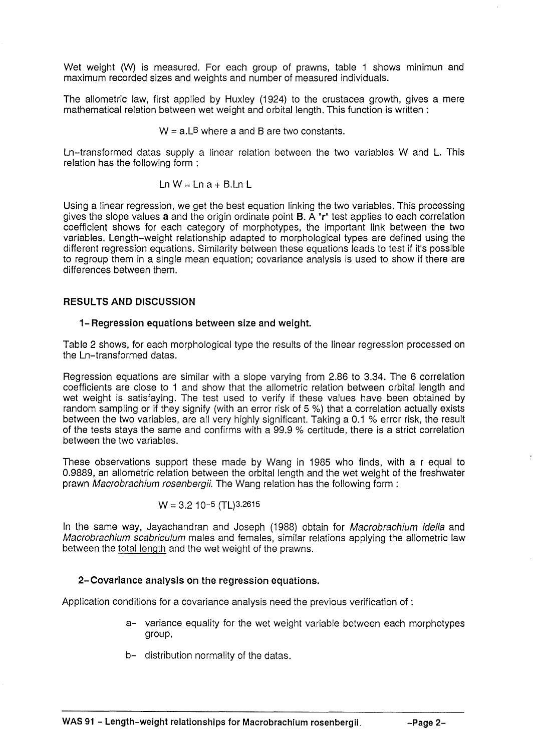Wet weight (W) is measured. For each group of prawns, table 1 shows minimun and maximum recorded sizes and weights and number of measured individuals.

The allometric law, first applied by Huxley (1924) to the crustacea growth, gives a mere mathematical relation between wet weight and orbital length. This function is written:

 $W = a \cdot L^B$  where a and B are two constants.

Ln-transformed datas supply a linear relation between the two variables Wand L. This relation has the following form:

$$
Ln W = Ln a + B.Ln L
$$

Using a linear regression, we get the best equation linking the two variables. This processing gives the slope values a and the origin ordinate point B. A "r" test applies to each correlation coefficient shows for each category of morphotypes, the important link between the two variables. Length-weight relationship adapted to morphological types are defined using the different regression equations. Similarity between these equations leads to test if it's possible to regroup them in a single mean equation; covariance analysis is used to show if there are differences between them.

### RESULTS AND DISCUSSION

#### 1-Regression equations between size and weight.

Table 2 shows, for each morphological type the results of the linear regression processed on the Ln-transformed datas.

Regression equations are similar with a slope varying from 2.86 to 3.34. The 6 correlation coefficients are close to 1 and show that the allometric relation between orbital length and wet weight is satisfaying. The test used to verify if these values have been obtained by random sampling or if they signify (with an error risk of 5 %) that a correlation actually exists between the two variables, are all very highly significant. Taking a 0.1 % error risk, the result of the tests stays the same and confirms with a 99.9 % certitude, there is a strict correlation between the two variables.

These observations support these made by Wang in 1985 who finds, with a r equal to 0.9889, an allometric relation between the orbital length and the wet weight of the freshwater prawn Macrobrachium rosenbergii. The Wang relation has the following form:

$$
W = 3.2 \, 10^{-5} \, (TL)^{3.2615}
$$

In the same way, Jayachandran and Joseph (1988) obtain for Macrobrachium idella and Macrobrachium scabriculum males and females, similar relations applying the allometric law between the total length and the wet weight of the prawns.

## 2- Covariance analysis on the regression equations.

Application conditions for a covariance analysis need the previous verification of :

- a- variance equality for the wet weight variable between each morphotypes group,
- b- distribution normality of the datas.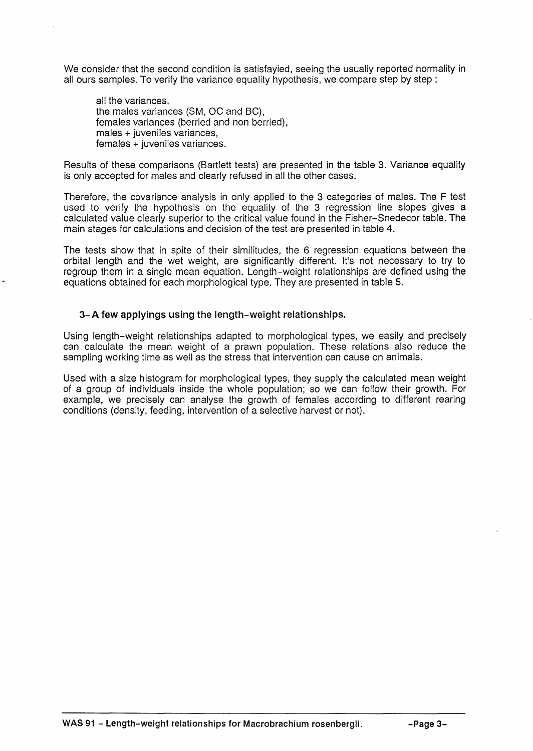We consider that the second condition is satisfayied, seeing the usually reported normality in all ours samples. To verify the variance equality hypothesis, we compare step by step:

all the variances, the males variances (SM, OC and BC), females variances (berried and non berried), males + juveniles variances, females + juveniles variances.

Results of these comparisons (Bartlett tests) are presented in the table 3. Variance equality is only accepted for males and clearly refused in all the other cases.

Therefore, the covariance analysis in only applied to the 3 categories of males. The F test used to verify the hypothesis on the equality of the 3 regression line slopes gives a calculated value clearly superior to the critical value found in the Fisher-Snedecor table. The main stages for calculations and decision of the test are presented in table 4.

The tests show that in spite of their similitudes, the 6 regression equations between the orbital length and the wet weight, are significantly different. It's not necessary to try to regroup them in a single mean equation. Length-weight relationships are defined using the equations obtained for each morphological type. They are presented in table 5.

### 3- A few applyings using the length-weight relationships.

Using length-weight relationships adapted to morphological types, we easily and precisely can calculate the mean weight of a prawn population. These relations also reduce the sampling working time as well as the stress that intervention can cause on animals.

Used with a size histogram for morphological types, they supply the calculated mean weight of a group of individuals inside the whole population; so we can follow their growth. For example, we precisely can analyse the growth of females according to different rearing conditions (density, feeding, intervention of a selective harvest or not).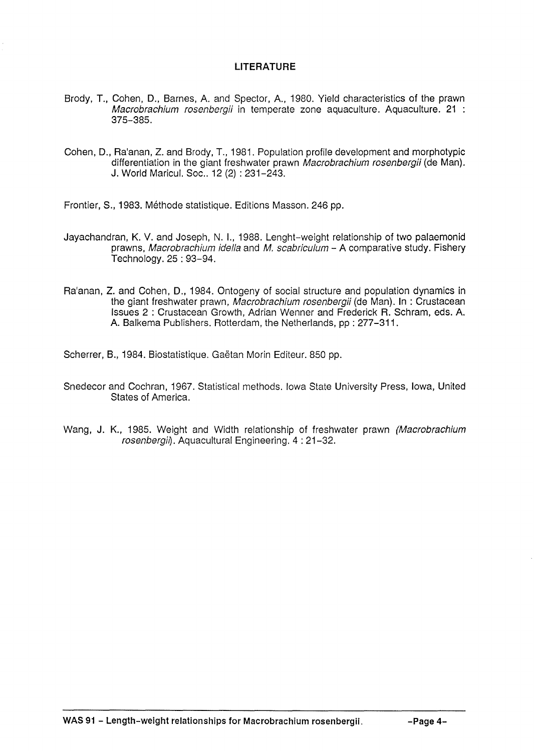# **LITERATURE**

- Brody, T., Cohen, D., Barnes, A. and Spector, A., 1980. Yield characteristics of the prawn Macrobrachium rosenbergii in temperate zone aquaculture. Aquaculture. 21 : 375-385.
- Cohen, D., Ra'anan, Z. and Brody, T., 1981. Population profile development and morphotypic differentiation in the giant freshwater prawn *Macrobrachium rosenbergii* (de Man). J. World Maricul. Soc., 12 (2): 231-243.
- Frontier, S., 1983. Méthode statistique. Editions Masson. 246 pp.
- Jayachandran, K. V. and Joseph, N. I., 1988. Lenght-weight relationship of two palaemonid prawns, Macrobrachium idella and M. scabriculum - A comparative study. Fishery Technology. 25 : 93-94.
- Ra'anan, Z. and Cohen, D., 1984. Ontogeny of social structure and population dynamics in the giant freshwater prawn, Macrobrachium rosenbergii (de Man). In : Crustacean Issues 2 : Crustacean Growth, Adrian Wenner and Frederick R. Schram, eds. A. A. Balkema Publishers. Rotterdam, the Netherlands, pp : 277-311.

Scherrer, B., 1984. Biostatistique. Gaëtan Morin Editeur. 850 pp.

- Snedecor and Cochran, 1967. Statistical methods. Iowa State University Press, Iowa, United States of America.
- Wang, J. K., 1985. Weight and Width relationship of freshwater prawn (Macrobrachium rosenbergil). Aquacultural Engineering. 4: 21-32.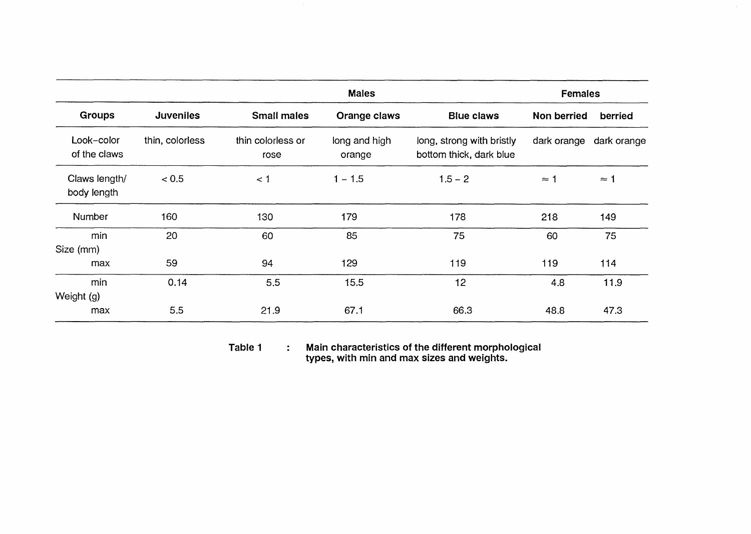|                              |                  | <b>Males</b>              |                         |                                                      | Females            |             |
|------------------------------|------------------|---------------------------|-------------------------|------------------------------------------------------|--------------------|-------------|
| <b>Groups</b>                | <b>Juveniles</b> | <b>Small males</b>        | Orange claws            | <b>Blue claws</b>                                    | <b>Non berried</b> | berried     |
| Look-color<br>of the claws   | thin, colorless  | thin colorless or<br>rose | long and high<br>orange | long, strong with bristly<br>bottom thick, dark blue | dark orange        | dark orange |
| Claws length/<br>body length | < 0.5            | < 1                       | $1 - 1.5$               | $1.5 - 2$                                            | $\approx$ 1        | $\approx$ 1 |
| Number                       | 160              | 130                       | 179                     | 178                                                  | 218                | 149         |
| min<br>Size (mm)             | 20               | 60                        | 85                      | 75                                                   | 60                 | 75          |
| max                          | 59               | 94                        | 129                     | 119                                                  | 119                | 114         |
| min<br>Weight (g)            | 0.14             | 5.5                       | 15.5                    | 12                                                   | 4.8                | 11.9        |
| max                          | 5.5              | 21.9                      | 67.1                    | 66.3                                                 | 48.8               | 47.3        |

**Table 1**   $\ddot{\cdot}$ **Main characteristics of the different morphological types, with min and max sizes and weights.**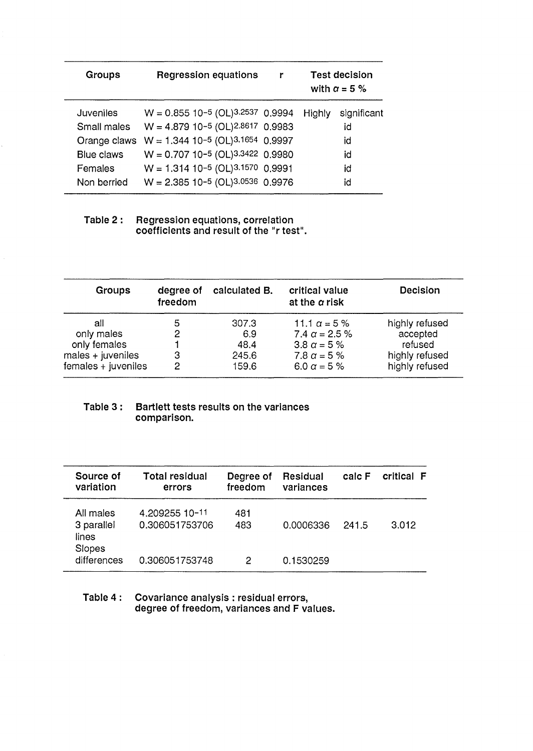| Groups            | <b>Regression equations</b>                    | r | <b>Test decision</b><br>with $\alpha = 5 \%$ |             |
|-------------------|------------------------------------------------|---|----------------------------------------------|-------------|
| <b>Juveniles</b>  | $W = 0.855$ 10-5 (OL) <sup>3.2537</sup> 0.9994 |   | Highly                                       | significant |
| Small males       | $W = 4.879$ 10-5 (OL)2.8617 0.9983             |   |                                              | id          |
| Orange claws      | $W = 1.344$ 10-5 (OL)3.1654 0.9997             |   |                                              | id          |
| <b>Blue claws</b> | $W = 0.707$ 10-5 (OL)3.3422 0.9980             |   |                                              | id          |
| Females           | $W = 1.314$ 10-5 (OL)3.1570 0.9991             |   |                                              | id          |
| Non berried       | $W = 2.385$ 10-5 (OL)3.0536 0.9976             |   |                                              | id          |
|                   |                                                |   |                                              |             |

### Table 2 : Regression equations, correlation coefficients and result of the "r test".

| <b>Groups</b>          | degree of<br>freedom | calculated B. | critical value<br>at the $\alpha$ risk | <b>Decision</b> |
|------------------------|----------------------|---------------|----------------------------------------|-----------------|
| all                    | 5                    | 307.3         | 11.1 $\alpha$ = 5 %                    | highly refused  |
| only males             | 2                    | 6.9           | 7.4 $\alpha$ = 2.5 %                   | accepted        |
| only females           |                      | 48.4          | 3.8 $\alpha$ = 5 %                     | refused         |
| males + juveniles      | З                    | 245.6         | 7.8 $\alpha$ = 5 %                     | highly refused  |
| $f$ emales + juveniles | 2                    | 159.6         | 6.0 $\alpha$ = 5 %                     | highly refused  |

# Table 3 : Bartlett tests results on the variances comparison.

| Source of<br>variation           | <b>Total residual</b><br>errors  | Degree of<br>freedom | Residual<br>variances | calc F | critical F |
|----------------------------------|----------------------------------|----------------------|-----------------------|--------|------------|
| All males<br>3 parallel<br>lines | 4.209255 10-11<br>0.306051753706 | 481<br>483           | 0.0006336             | 241.5  | 3.012      |
| Slopes<br>differences            | 0.306051753748                   | 2                    | 0.1530259             |        |            |

#### Table 4 : Covariance analysis: residual errors, degree of freedom, variances and F values.